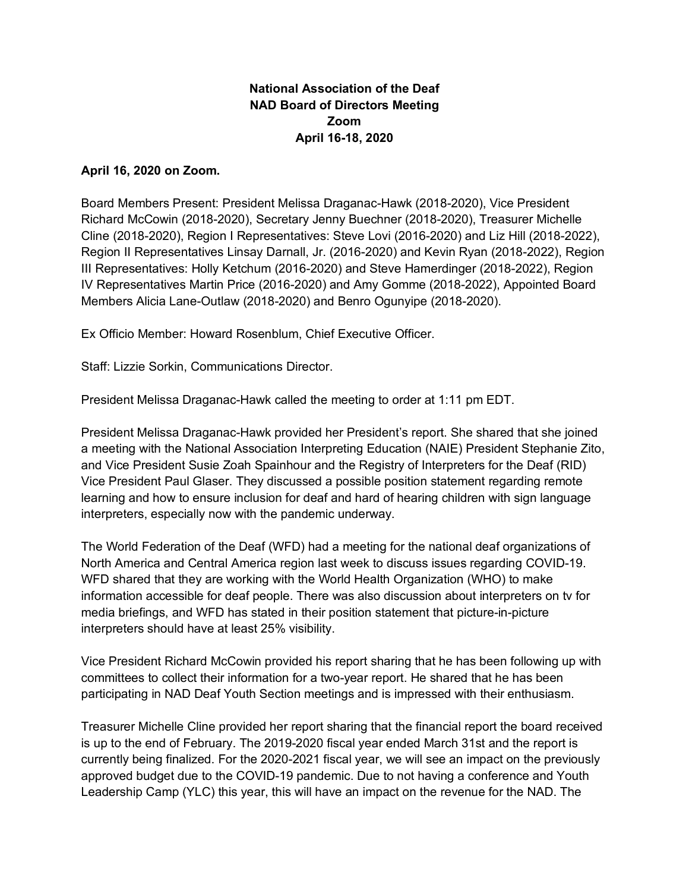## **National Association of the Deaf NAD Board of Directors Meeting Zoom April 16-18, 2020**

## **April 16, 2020 on Zoom.**

Board Members Present: President Melissa Draganac-Hawk (2018-2020), Vice President Richard McCowin (2018-2020), Secretary Jenny Buechner (2018-2020), Treasurer Michelle Cline (2018-2020), Region I Representatives: Steve Lovi (2016-2020) and Liz Hill (2018-2022), Region II Representatives Linsay Darnall, Jr. (2016-2020) and Kevin Ryan (2018-2022), Region III Representatives: Holly Ketchum (2016-2020) and Steve Hamerdinger (2018-2022), Region IV Representatives Martin Price (2016-2020) and Amy Gomme (2018-2022), Appointed Board Members Alicia Lane-Outlaw (2018-2020) and Benro Ogunyipe (2018-2020).

Ex Officio Member: Howard Rosenblum, Chief Executive Officer.

Staff: Lizzie Sorkin, Communications Director.

President Melissa Draganac-Hawk called the meeting to order at 1:11 pm EDT.

President Melissa Draganac-Hawk provided her President's report. She shared that she joined a meeting with the National Association Interpreting Education (NAIE) President Stephanie Zito, and Vice President Susie Zoah Spainhour and the Registry of Interpreters for the Deaf (RID) Vice President Paul Glaser. They discussed a possible position statement regarding remote learning and how to ensure inclusion for deaf and hard of hearing children with sign language interpreters, especially now with the pandemic underway.

The World Federation of the Deaf (WFD) had a meeting for the national deaf organizations of North America and Central America region last week to discuss issues regarding COVID-19. WFD shared that they are working with the World Health Organization (WHO) to make information accessible for deaf people. There was also discussion about interpreters on tv for media briefings, and WFD has stated in their position statement that picture-in-picture interpreters should have at least 25% visibility.

Vice President Richard McCowin provided his report sharing that he has been following up with committees to collect their information for a two-year report. He shared that he has been participating in NAD Deaf Youth Section meetings and is impressed with their enthusiasm.

Treasurer Michelle Cline provided her report sharing that the financial report the board received is up to the end of February. The 2019-2020 fiscal year ended March 31st and the report is currently being finalized. For the 2020-2021 fiscal year, we will see an impact on the previously approved budget due to the COVID-19 pandemic. Due to not having a conference and Youth Leadership Camp (YLC) this year, this will have an impact on the revenue for the NAD. The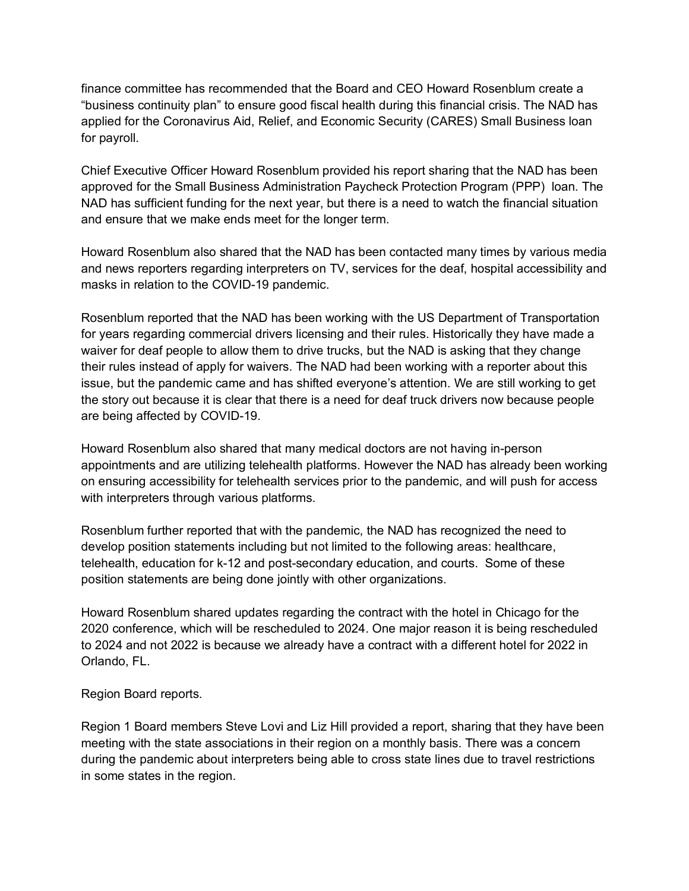finance committee has recommended that the Board and CEO Howard Rosenblum create a "business continuity plan" to ensure good fiscal health during this financial crisis. The NAD has applied for the Coronavirus Aid, Relief, and Economic Security (CARES) Small Business loan for payroll.

Chief Executive Officer Howard Rosenblum provided his report sharing that the NAD has been approved for the Small Business Administration Paycheck Protection Program (PPP) loan. The NAD has sufficient funding for the next year, but there is a need to watch the financial situation and ensure that we make ends meet for the longer term.

Howard Rosenblum also shared that the NAD has been contacted many times by various media and news reporters regarding interpreters on TV, services for the deaf, hospital accessibility and masks in relation to the COVID-19 pandemic.

Rosenblum reported that the NAD has been working with the US Department of Transportation for years regarding commercial drivers licensing and their rules. Historically they have made a waiver for deaf people to allow them to drive trucks, but the NAD is asking that they change their rules instead of apply for waivers. The NAD had been working with a reporter about this issue, but the pandemic came and has shifted everyone's attention. We are still working to get the story out because it is clear that there is a need for deaf truck drivers now because people are being affected by COVID-19.

Howard Rosenblum also shared that many medical doctors are not having in-person appointments and are utilizing telehealth platforms. However the NAD has already been working on ensuring accessibility for telehealth services prior to the pandemic, and will push for access with interpreters through various platforms.

Rosenblum further reported that with the pandemic, the NAD has recognized the need to develop position statements including but not limited to the following areas: healthcare, telehealth, education for k-12 and post-secondary education, and courts. Some of these position statements are being done jointly with other organizations.

Howard Rosenblum shared updates regarding the contract with the hotel in Chicago for the 2020 conference, which will be rescheduled to 2024. One major reason it is being rescheduled to 2024 and not 2022 is because we already have a contract with a different hotel for 2022 in Orlando, FL.

Region Board reports.

Region 1 Board members Steve Lovi and Liz Hill provided a report, sharing that they have been meeting with the state associations in their region on a monthly basis. There was a concern during the pandemic about interpreters being able to cross state lines due to travel restrictions in some states in the region.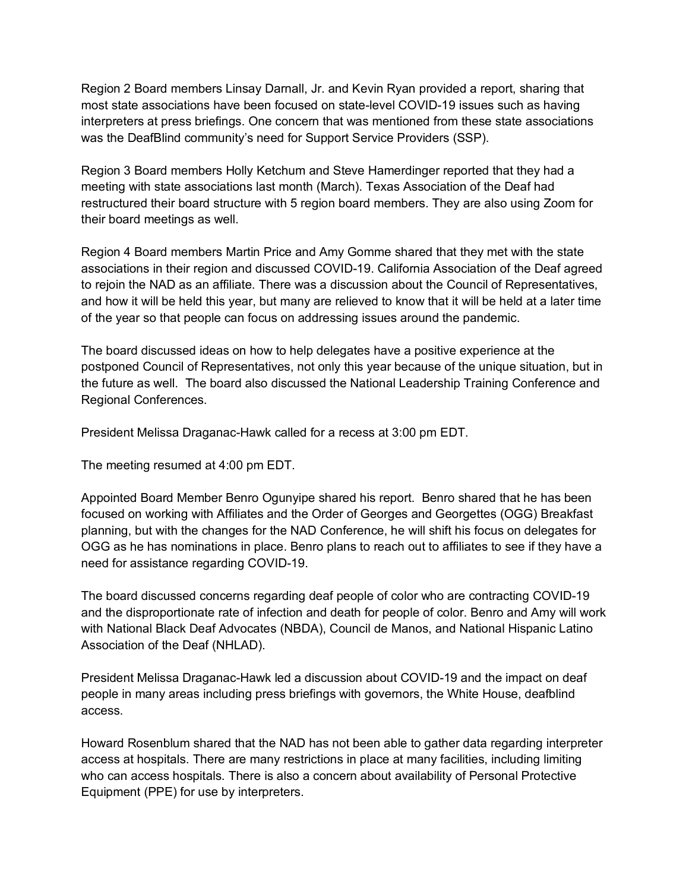Region 2 Board members Linsay Darnall, Jr. and Kevin Ryan provided a report, sharing that most state associations have been focused on state-level COVID-19 issues such as having interpreters at press briefings. One concern that was mentioned from these state associations was the DeafBlind community's need for Support Service Providers (SSP).

Region 3 Board members Holly Ketchum and Steve Hamerdinger reported that they had a meeting with state associations last month (March). Texas Association of the Deaf had restructured their board structure with 5 region board members. They are also using Zoom for their board meetings as well.

Region 4 Board members Martin Price and Amy Gomme shared that they met with the state associations in their region and discussed COVID-19. California Association of the Deaf agreed to rejoin the NAD as an affiliate. There was a discussion about the Council of Representatives, and how it will be held this year, but many are relieved to know that it will be held at a later time of the year so that people can focus on addressing issues around the pandemic.

The board discussed ideas on how to help delegates have a positive experience at the postponed Council of Representatives, not only this year because of the unique situation, but in the future as well. The board also discussed the National Leadership Training Conference and Regional Conferences.

President Melissa Draganac-Hawk called for a recess at 3:00 pm EDT.

The meeting resumed at 4:00 pm EDT.

Appointed Board Member Benro Ogunyipe shared his report. Benro shared that he has been focused on working with Affiliates and the Order of Georges and Georgettes (OGG) Breakfast planning, but with the changes for the NAD Conference, he will shift his focus on delegates for OGG as he has nominations in place. Benro plans to reach out to affiliates to see if they have a need for assistance regarding COVID-19.

The board discussed concerns regarding deaf people of color who are contracting COVID-19 and the disproportionate rate of infection and death for people of color. Benro and Amy will work with National Black Deaf Advocates (NBDA), Council de Manos, and National Hispanic Latino Association of the Deaf (NHLAD).

President Melissa Draganac-Hawk led a discussion about COVID-19 and the impact on deaf people in many areas including press briefings with governors, the White House, deafblind access.

Howard Rosenblum shared that the NAD has not been able to gather data regarding interpreter access at hospitals. There are many restrictions in place at many facilities, including limiting who can access hospitals. There is also a concern about availability of Personal Protective Equipment (PPE) for use by interpreters.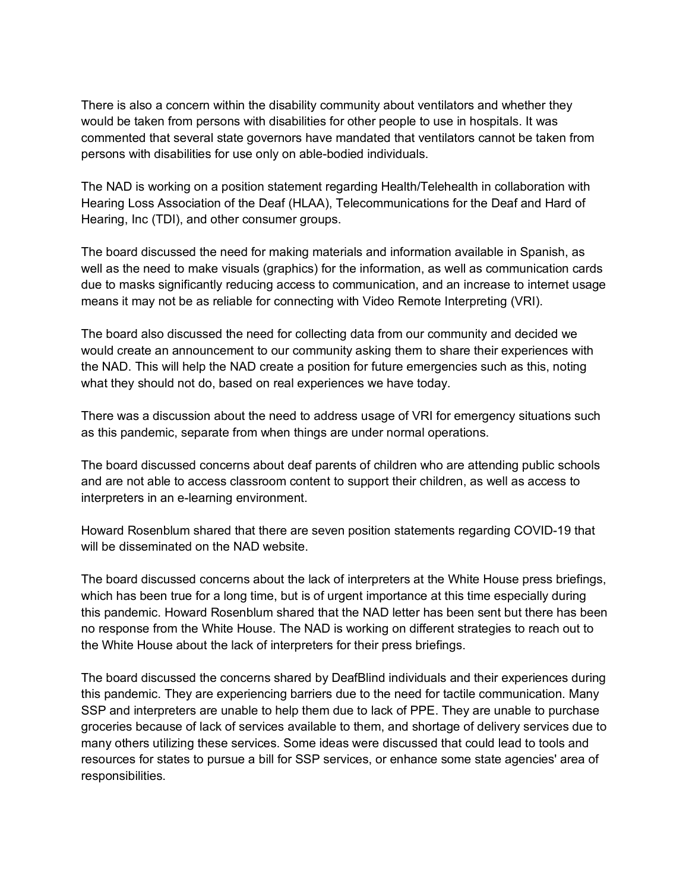There is also a concern within the disability community about ventilators and whether they would be taken from persons with disabilities for other people to use in hospitals. It was commented that several state governors have mandated that ventilators cannot be taken from persons with disabilities for use only on able-bodied individuals.

The NAD is working on a position statement regarding Health/Telehealth in collaboration with Hearing Loss Association of the Deaf (HLAA), Telecommunications for the Deaf and Hard of Hearing, Inc (TDI), and other consumer groups.

The board discussed the need for making materials and information available in Spanish, as well as the need to make visuals (graphics) for the information, as well as communication cards due to masks significantly reducing access to communication, and an increase to internet usage means it may not be as reliable for connecting with Video Remote Interpreting (VRI).

The board also discussed the need for collecting data from our community and decided we would create an announcement to our community asking them to share their experiences with the NAD. This will help the NAD create a position for future emergencies such as this, noting what they should not do, based on real experiences we have today.

There was a discussion about the need to address usage of VRI for emergency situations such as this pandemic, separate from when things are under normal operations.

The board discussed concerns about deaf parents of children who are attending public schools and are not able to access classroom content to support their children, as well as access to interpreters in an e-learning environment.

Howard Rosenblum shared that there are seven position statements regarding COVID-19 that will be disseminated on the NAD website.

The board discussed concerns about the lack of interpreters at the White House press briefings, which has been true for a long time, but is of urgent importance at this time especially during this pandemic. Howard Rosenblum shared that the NAD letter has been sent but there has been no response from the White House. The NAD is working on different strategies to reach out to the White House about the lack of interpreters for their press briefings.

The board discussed the concerns shared by DeafBlind individuals and their experiences during this pandemic. They are experiencing barriers due to the need for tactile communication. Many SSP and interpreters are unable to help them due to lack of PPE. They are unable to purchase groceries because of lack of services available to them, and shortage of delivery services due to many others utilizing these services. Some ideas were discussed that could lead to tools and resources for states to pursue a bill for SSP services, or enhance some state agencies' area of responsibilities.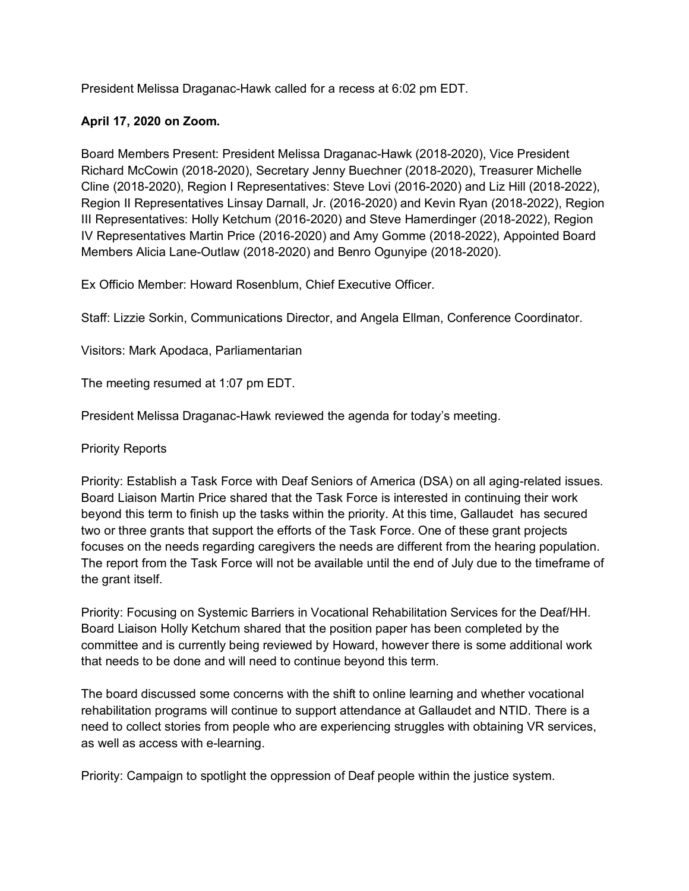President Melissa Draganac-Hawk called for a recess at 6:02 pm EDT.

## **April 17, 2020 on Zoom.**

Board Members Present: President Melissa Draganac-Hawk (2018-2020), Vice President Richard McCowin (2018-2020), Secretary Jenny Buechner (2018-2020), Treasurer Michelle Cline (2018-2020), Region I Representatives: Steve Lovi (2016-2020) and Liz Hill (2018-2022), Region II Representatives Linsay Darnall, Jr. (2016-2020) and Kevin Ryan (2018-2022), Region III Representatives: Holly Ketchum (2016-2020) and Steve Hamerdinger (2018-2022), Region IV Representatives Martin Price (2016-2020) and Amy Gomme (2018-2022), Appointed Board Members Alicia Lane-Outlaw (2018-2020) and Benro Ogunyipe (2018-2020).

Ex Officio Member: Howard Rosenblum, Chief Executive Officer.

Staff: Lizzie Sorkin, Communications Director, and Angela Ellman, Conference Coordinator.

Visitors: Mark Apodaca, Parliamentarian

The meeting resumed at 1:07 pm EDT.

President Melissa Draganac-Hawk reviewed the agenda for today's meeting.

Priority Reports

Priority: Establish a Task Force with Deaf Seniors of America (DSA) on all aging-related issues. Board Liaison Martin Price shared that the Task Force is interested in continuing their work beyond this term to finish up the tasks within the priority. At this time, Gallaudet has secured two or three grants that support the efforts of the Task Force. One of these grant projects focuses on the needs regarding caregivers the needs are different from the hearing population. The report from the Task Force will not be available until the end of July due to the timeframe of the grant itself.

Priority: Focusing on Systemic Barriers in Vocational Rehabilitation Services for the Deaf/HH. Board Liaison Holly Ketchum shared that the position paper has been completed by the committee and is currently being reviewed by Howard, however there is some additional work that needs to be done and will need to continue beyond this term.

The board discussed some concerns with the shift to online learning and whether vocational rehabilitation programs will continue to support attendance at Gallaudet and NTID. There is a need to collect stories from people who are experiencing struggles with obtaining VR services, as well as access with e-learning.

Priority: Campaign to spotlight the oppression of Deaf people within the justice system.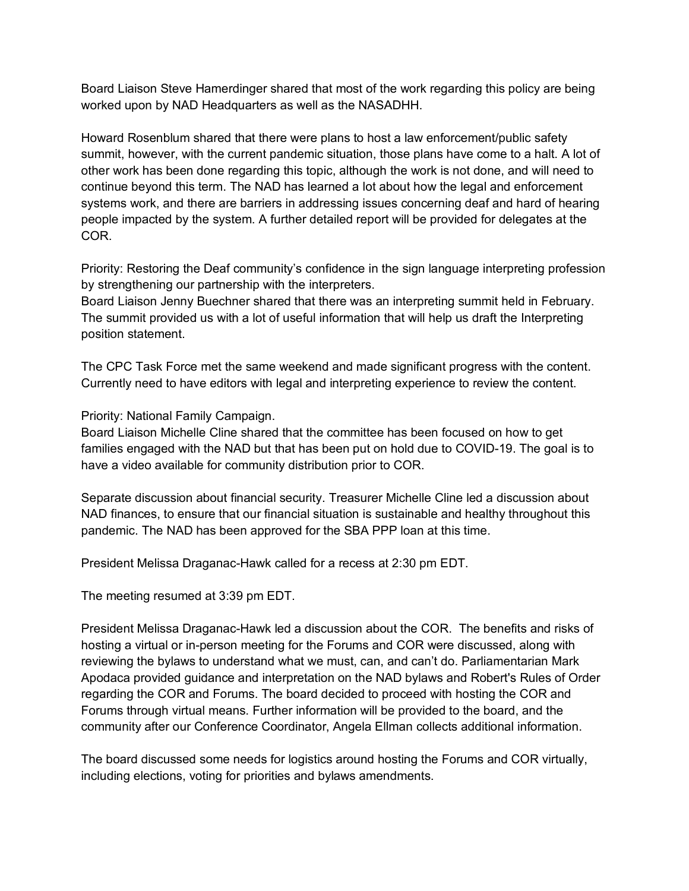Board Liaison Steve Hamerdinger shared that most of the work regarding this policy are being worked upon by NAD Headquarters as well as the NASADHH.

Howard Rosenblum shared that there were plans to host a law enforcement/public safety summit, however, with the current pandemic situation, those plans have come to a halt. A lot of other work has been done regarding this topic, although the work is not done, and will need to continue beyond this term. The NAD has learned a lot about how the legal and enforcement systems work, and there are barriers in addressing issues concerning deaf and hard of hearing people impacted by the system. A further detailed report will be provided for delegates at the COR.

Priority: Restoring the Deaf community's confidence in the sign language interpreting profession by strengthening our partnership with the interpreters.

Board Liaison Jenny Buechner shared that there was an interpreting summit held in February. The summit provided us with a lot of useful information that will help us draft the Interpreting position statement.

The CPC Task Force met the same weekend and made significant progress with the content. Currently need to have editors with legal and interpreting experience to review the content.

Priority: National Family Campaign.

Board Liaison Michelle Cline shared that the committee has been focused on how to get families engaged with the NAD but that has been put on hold due to COVID-19. The goal is to have a video available for community distribution prior to COR.

Separate discussion about financial security. Treasurer Michelle Cline led a discussion about NAD finances, to ensure that our financial situation is sustainable and healthy throughout this pandemic. The NAD has been approved for the SBA PPP loan at this time.

President Melissa Draganac-Hawk called for a recess at 2:30 pm EDT.

The meeting resumed at 3:39 pm EDT.

President Melissa Draganac-Hawk led a discussion about the COR. The benefits and risks of hosting a virtual or in-person meeting for the Forums and COR were discussed, along with reviewing the bylaws to understand what we must, can, and can't do. Parliamentarian Mark Apodaca provided guidance and interpretation on the NAD bylaws and Robert's Rules of Order regarding the COR and Forums. The board decided to proceed with hosting the COR and Forums through virtual means. Further information will be provided to the board, and the community after our Conference Coordinator, Angela Ellman collects additional information.

The board discussed some needs for logistics around hosting the Forums and COR virtually, including elections, voting for priorities and bylaws amendments.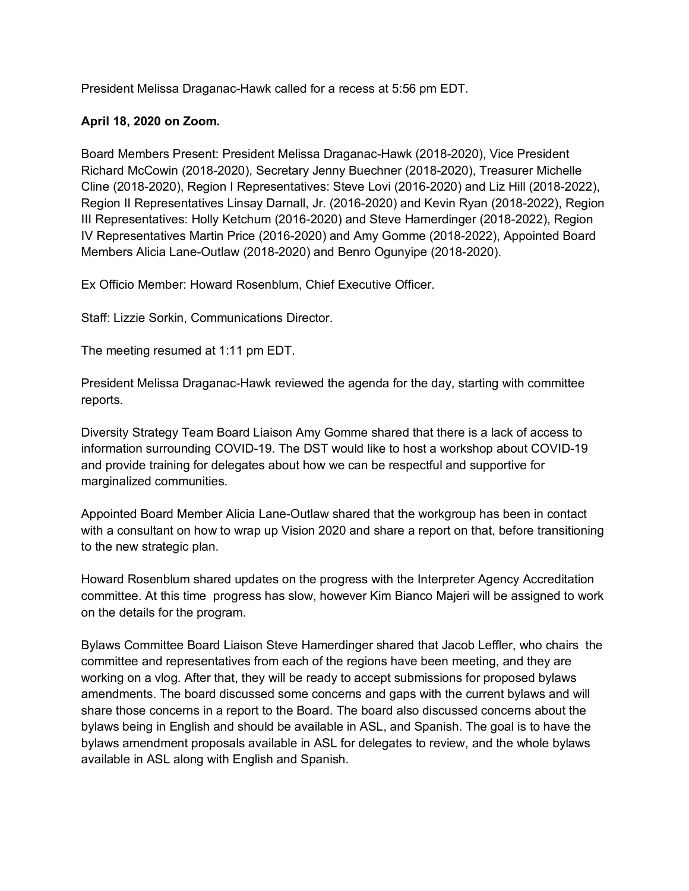President Melissa Draganac-Hawk called for a recess at 5:56 pm EDT.

## **April 18, 2020 on Zoom.**

Board Members Present: President Melissa Draganac-Hawk (2018-2020), Vice President Richard McCowin (2018-2020), Secretary Jenny Buechner (2018-2020), Treasurer Michelle Cline (2018-2020), Region I Representatives: Steve Lovi (2016-2020) and Liz Hill (2018-2022), Region II Representatives Linsay Darnall, Jr. (2016-2020) and Kevin Ryan (2018-2022), Region III Representatives: Holly Ketchum (2016-2020) and Steve Hamerdinger (2018-2022), Region IV Representatives Martin Price (2016-2020) and Amy Gomme (2018-2022), Appointed Board Members Alicia Lane-Outlaw (2018-2020) and Benro Ogunyipe (2018-2020).

Ex Officio Member: Howard Rosenblum, Chief Executive Officer.

Staff: Lizzie Sorkin, Communications Director.

The meeting resumed at 1:11 pm EDT.

President Melissa Draganac-Hawk reviewed the agenda for the day, starting with committee reports.

Diversity Strategy Team Board Liaison Amy Gomme shared that there is a lack of access to information surrounding COVID-19. The DST would like to host a workshop about COVID-19 and provide training for delegates about how we can be respectful and supportive for marginalized communities.

Appointed Board Member Alicia Lane-Outlaw shared that the workgroup has been in contact with a consultant on how to wrap up Vision 2020 and share a report on that, before transitioning to the new strategic plan.

Howard Rosenblum shared updates on the progress with the Interpreter Agency Accreditation committee. At this time progress has slow, however Kim Bianco Majeri will be assigned to work on the details for the program.

Bylaws Committee Board Liaison Steve Hamerdinger shared that Jacob Leffler, who chairs the committee and representatives from each of the regions have been meeting, and they are working on a vlog. After that, they will be ready to accept submissions for proposed bylaws amendments. The board discussed some concerns and gaps with the current bylaws and will share those concerns in a report to the Board. The board also discussed concerns about the bylaws being in English and should be available in ASL, and Spanish. The goal is to have the bylaws amendment proposals available in ASL for delegates to review, and the whole bylaws available in ASL along with English and Spanish.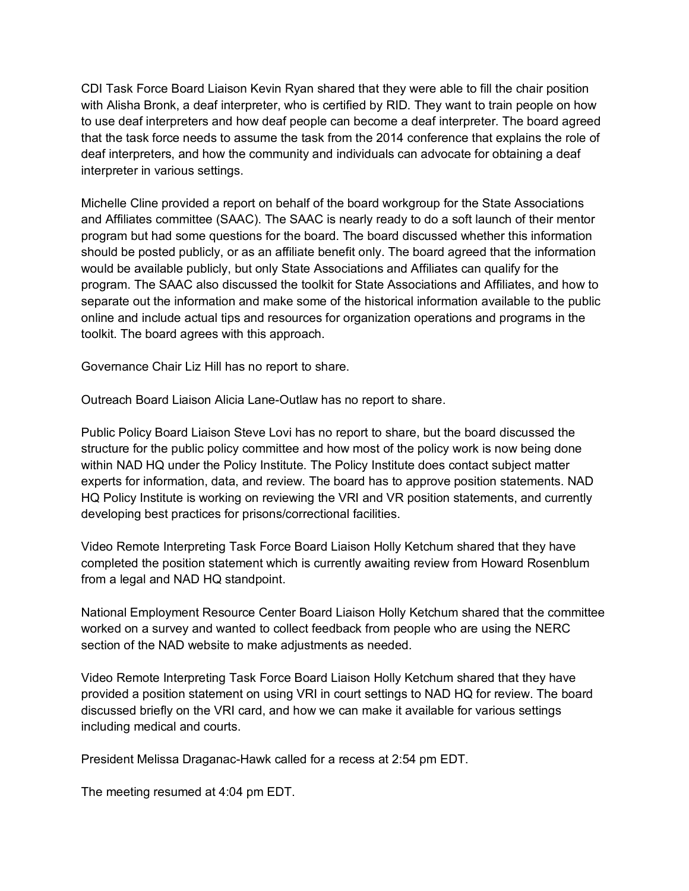CDI Task Force Board Liaison Kevin Ryan shared that they were able to fill the chair position with Alisha Bronk, a deaf interpreter, who is certified by RID. They want to train people on how to use deaf interpreters and how deaf people can become a deaf interpreter. The board agreed that the task force needs to assume the task from the 2014 conference that explains the role of deaf interpreters, and how the community and individuals can advocate for obtaining a deaf interpreter in various settings.

Michelle Cline provided a report on behalf of the board workgroup for the State Associations and Affiliates committee (SAAC). The SAAC is nearly ready to do a soft launch of their mentor program but had some questions for the board. The board discussed whether this information should be posted publicly, or as an affiliate benefit only. The board agreed that the information would be available publicly, but only State Associations and Affiliates can qualify for the program. The SAAC also discussed the toolkit for State Associations and Affiliates, and how to separate out the information and make some of the historical information available to the public online and include actual tips and resources for organization operations and programs in the toolkit. The board agrees with this approach.

Governance Chair Liz Hill has no report to share.

Outreach Board Liaison Alicia Lane-Outlaw has no report to share.

Public Policy Board Liaison Steve Lovi has no report to share, but the board discussed the structure for the public policy committee and how most of the policy work is now being done within NAD HQ under the Policy Institute. The Policy Institute does contact subject matter experts for information, data, and review. The board has to approve position statements. NAD HQ Policy Institute is working on reviewing the VRI and VR position statements, and currently developing best practices for prisons/correctional facilities.

Video Remote Interpreting Task Force Board Liaison Holly Ketchum shared that they have completed the position statement which is currently awaiting review from Howard Rosenblum from a legal and NAD HQ standpoint.

National Employment Resource Center Board Liaison Holly Ketchum shared that the committee worked on a survey and wanted to collect feedback from people who are using the NERC section of the NAD website to make adjustments as needed.

Video Remote Interpreting Task Force Board Liaison Holly Ketchum shared that they have provided a position statement on using VRI in court settings to NAD HQ for review. The board discussed briefly on the VRI card, and how we can make it available for various settings including medical and courts.

President Melissa Draganac-Hawk called for a recess at 2:54 pm EDT.

The meeting resumed at 4:04 pm EDT.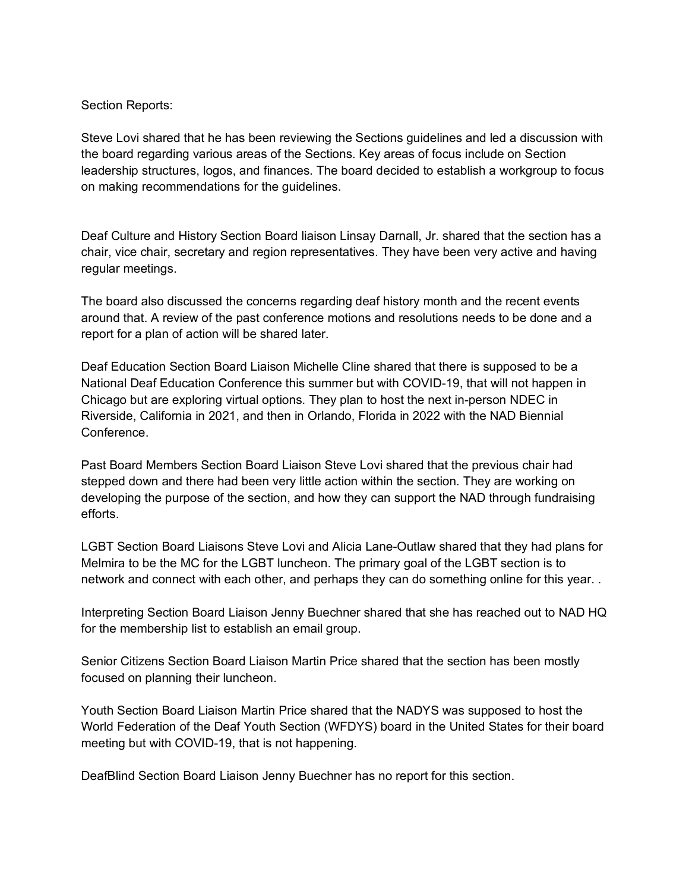Section Reports:

Steve Lovi shared that he has been reviewing the Sections guidelines and led a discussion with the board regarding various areas of the Sections. Key areas of focus include on Section leadership structures, logos, and finances. The board decided to establish a workgroup to focus on making recommendations for the guidelines.

Deaf Culture and History Section Board liaison Linsay Darnall, Jr. shared that the section has a chair, vice chair, secretary and region representatives. They have been very active and having regular meetings.

The board also discussed the concerns regarding deaf history month and the recent events around that. A review of the past conference motions and resolutions needs to be done and a report for a plan of action will be shared later.

Deaf Education Section Board Liaison Michelle Cline shared that there is supposed to be a National Deaf Education Conference this summer but with COVID-19, that will not happen in Chicago but are exploring virtual options. They plan to host the next in-person NDEC in Riverside, California in 2021, and then in Orlando, Florida in 2022 with the NAD Biennial Conference.

Past Board Members Section Board Liaison Steve Lovi shared that the previous chair had stepped down and there had been very little action within the section. They are working on developing the purpose of the section, and how they can support the NAD through fundraising efforts.

LGBT Section Board Liaisons Steve Lovi and Alicia Lane-Outlaw shared that they had plans for Melmira to be the MC for the LGBT luncheon. The primary goal of the LGBT section is to network and connect with each other, and perhaps they can do something online for this year. .

Interpreting Section Board Liaison Jenny Buechner shared that she has reached out to NAD HQ for the membership list to establish an email group.

Senior Citizens Section Board Liaison Martin Price shared that the section has been mostly focused on planning their luncheon.

Youth Section Board Liaison Martin Price shared that the NADYS was supposed to host the World Federation of the Deaf Youth Section (WFDYS) board in the United States for their board meeting but with COVID-19, that is not happening.

DeafBlind Section Board Liaison Jenny Buechner has no report for this section.